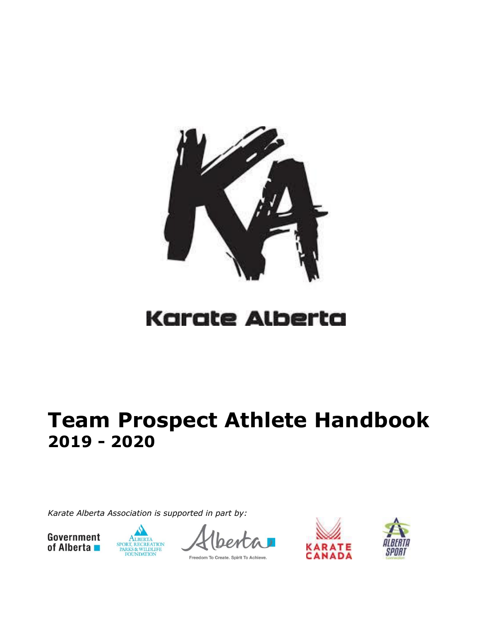

# Karate Alberta

# **Team Prospect Athlete Handbook 2019 - 2020**

*Karate Alberta Association is supported in part by:*





Freedom To Create. Spirit To Achieve.



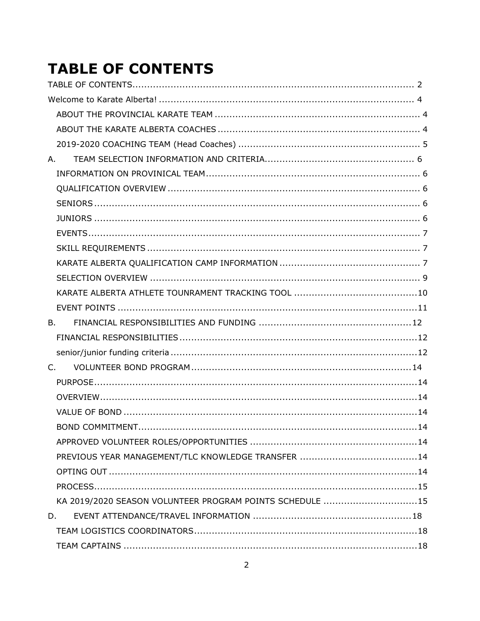## <span id="page-1-0"></span>**TABLE OF CONTENTS**

| A.                                                       |  |
|----------------------------------------------------------|--|
|                                                          |  |
|                                                          |  |
|                                                          |  |
|                                                          |  |
|                                                          |  |
|                                                          |  |
|                                                          |  |
|                                                          |  |
|                                                          |  |
|                                                          |  |
| <b>B.</b>                                                |  |
|                                                          |  |
|                                                          |  |
| $C_{1}$                                                  |  |
|                                                          |  |
|                                                          |  |
|                                                          |  |
|                                                          |  |
|                                                          |  |
|                                                          |  |
|                                                          |  |
|                                                          |  |
| KA 2019/2020 SEASON VOLUNTEER PROGRAM POINTS SCHEDULE 15 |  |
| D.                                                       |  |
|                                                          |  |
|                                                          |  |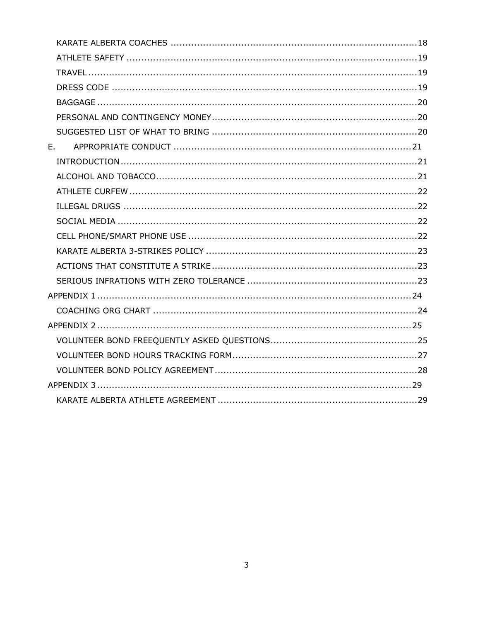| E., |  |
|-----|--|
|     |  |
|     |  |
|     |  |
|     |  |
|     |  |
|     |  |
|     |  |
|     |  |
|     |  |
|     |  |
|     |  |
|     |  |
|     |  |
|     |  |
|     |  |
|     |  |
|     |  |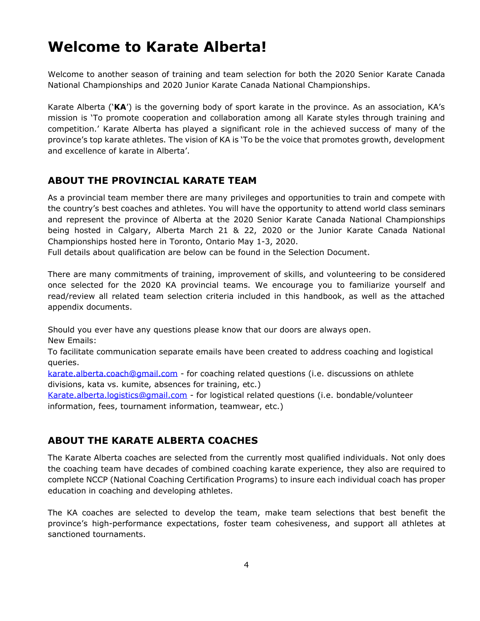## <span id="page-3-0"></span>**Welcome to Karate Alberta!**

Welcome to another season of training and team selection for both the 2020 Senior Karate Canada National Championships and 2020 Junior Karate Canada National Championships.

Karate Alberta ('**KA**') is the governing body of sport karate in the province. As an association, KA's mission is 'To promote cooperation and collaboration among all Karate styles through training and competition.' Karate Alberta has played a significant role in the achieved success of many of the province's top karate athletes. The vision of KA is 'To be the voice that promotes growth, development and excellence of karate in Alberta'.

## <span id="page-3-1"></span>**ABOUT THE PROVINCIAL KARATE TEAM**

As a provincial team member there are many privileges and opportunities to train and compete with the country's best coaches and athletes. You will have the opportunity to attend world class seminars and represent the province of Alberta at the 2020 Senior Karate Canada National Championships being hosted in Calgary, Alberta March 21 & 22, 2020 or the Junior Karate Canada National Championships hosted here in Toronto, Ontario May 1-3, 2020.

Full details about qualification are below can be found in the Selection Document.

There are many commitments of training, improvement of skills, and volunteering to be considered once selected for the 2020 KA provincial teams. We encourage you to familiarize yourself and read/review all related team selection criteria included in this handbook, as well as the attached appendix documents.

Should you ever have any questions please know that our doors are always open.

New Emails:

To facilitate communication separate emails have been created to address coaching and logistical queries.

[karate.alberta.coach@gmail.com](mailto:karate.alberta.coach@gmail.com) - for coaching related questions (i.e. discussions on athlete divisions, kata vs. kumite, absences for training, etc.)

[Karate.alberta.logistics@gmail.com](mailto:Karate.alberta.logistics@gmail.com) - for logistical related questions (i.e. bondable/volunteer information, fees, tournament information, teamwear, etc.)

## <span id="page-3-2"></span>**ABOUT THE KARATE ALBERTA COACHES**

The Karate Alberta coaches are selected from the currently most qualified individuals. Not only does the coaching team have decades of combined coaching karate experience, they also are required to complete NCCP (National Coaching Certification Programs) to insure each individual coach has proper education in coaching and developing athletes.

The KA coaches are selected to develop the team, make team selections that best benefit the province's high-performance expectations, foster team cohesiveness, and support all athletes at sanctioned tournaments.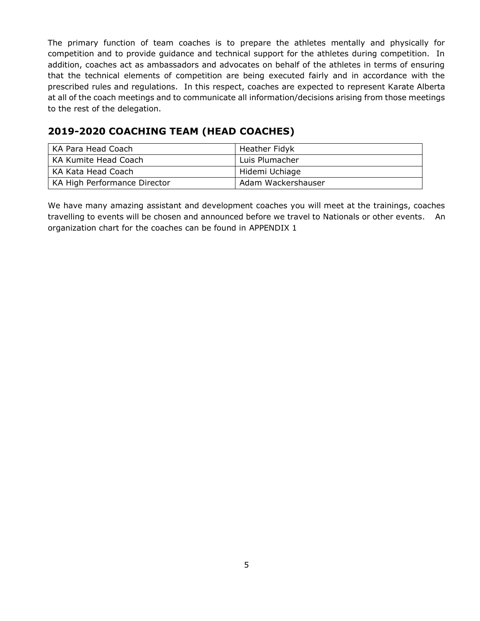The primary function of team coaches is to prepare the athletes mentally and physically for competition and to provide guidance and technical support for the athletes during competition. In addition, coaches act as ambassadors and advocates on behalf of the athletes in terms of ensuring that the technical elements of competition are being executed fairly and in accordance with the prescribed rules and regulations. In this respect, coaches are expected to represent Karate Alberta at all of the coach meetings and to communicate all information/decisions arising from those meetings to the rest of the delegation.

## <span id="page-4-0"></span>**2019-2020 COACHING TEAM (HEAD COACHES)**

| KA Para Head Coach           | Heather Fidyk      |
|------------------------------|--------------------|
| KA Kumite Head Coach         | Luis Plumacher     |
| KA Kata Head Coach           | Hidemi Uchiage     |
| KA High Performance Director | Adam Wackershauser |

We have many amazing assistant and development coaches you will meet at the trainings, coaches travelling to events will be chosen and announced before we travel to Nationals or other events. An organization chart for the coaches can be found in [APPENDIX 1](#page-23-0)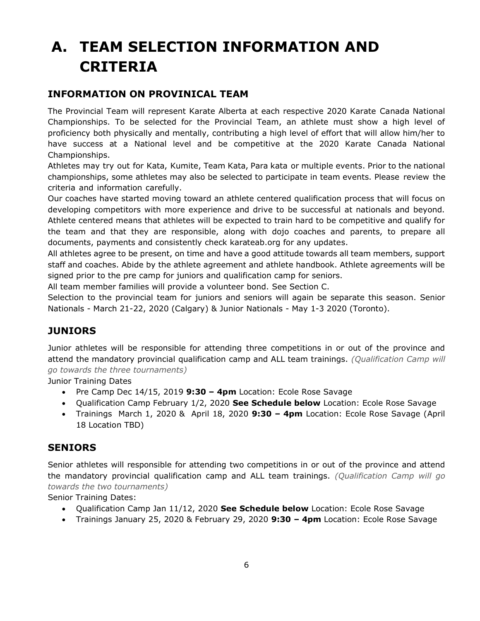## <span id="page-5-0"></span>**A. TEAM SELECTION INFORMATION AND CRITERIA**

## <span id="page-5-1"></span>**INFORMATION ON PROVINICAL TEAM**

The Provincial Team will represent Karate Alberta at each respective 2020 Karate Canada National Championships. To be selected for the Provincial Team, an athlete must show a high level of proficiency both physically and mentally, contributing a high level of effort that will allow him/her to have success at a National level and be competitive at the 2020 Karate Canada National Championships.

Athletes may try out for Kata, Kumite, Team Kata, Para kata or multiple events. Prior to the national championships, some athletes may also be selected to participate in team events. Please review the criteria and information carefully.

Our coaches have started moving toward an athlete centered qualification process that will focus on developing competitors with more experience and drive to be successful at nationals and beyond. Athlete centered means that athletes will be expected to train hard to be competitive and qualify for the team and that they are responsible, along with dojo coaches and parents, to prepare all documents, payments and consistently check karateab.org for any updates.

All athletes agree to be present, on time and have a good attitude towards all team members, support staff and coaches. Abide by the athlete agreement and athlete handbook. Athlete agreements will be signed prior to the pre camp for juniors and qualification camp for seniors.

All team member families will provide a volunteer bond. See Section [C.](#page-13-0)

Selection to the provincial team for juniors and seniors will again be separate this season. Senior Nationals - March 21-22, 2020 (Calgary) & Junior Nationals - May 1-3 2020 (Toronto).

## <span id="page-5-2"></span>**JUNIORS**

Junior athletes will be responsible for attending three competitions in or out of the province and attend the mandatory provincial qualification camp and ALL team trainings. *(Qualification Camp will go towards the three tournaments)*

Junior Training Dates

- Pre Camp Dec 14/15, 2019 **9:30 – 4pm** Location: Ecole Rose Savage
- Qualification Camp February 1/2, 2020 **See Schedule below** Location: Ecole Rose Savage
- Trainings March 1, 2020 & April 18, 2020 **9:30 – 4pm** Location: Ecole Rose Savage (April 18 Location TBD)

#### **SENIORS**

Senior athletes will responsible for attending two competitions in or out of the province and attend the mandatory provincial qualification camp and ALL team trainings. *(Qualification Camp will go towards the two tournaments)*

Senior Training Dates:

- Qualification Camp Jan 11/12, 2020 **See Schedule below** Location: Ecole Rose Savage
- Trainings January 25, 2020 & February 29, 2020 **9:30 – 4pm** Location: Ecole Rose Savage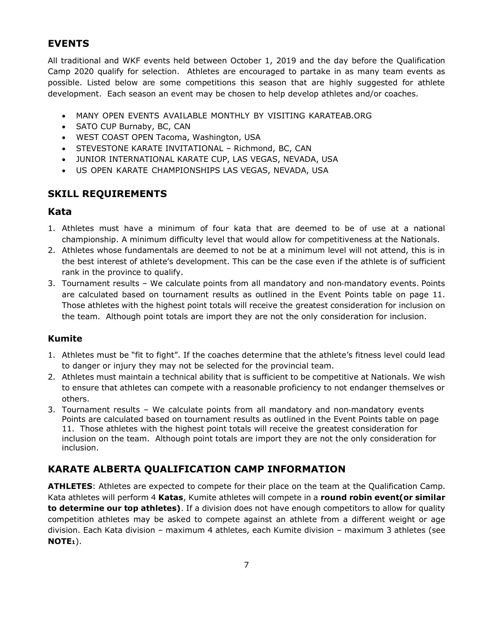## <span id="page-6-0"></span>**EVENTS**

All traditional and WKF events held between October 1, 2019 and the day before the Qualification Camp 2020 qualify for selection. Athletes are encouraged to partake in as many team events as possible. Listed below are some competitions this season that are highly suggested for athlete development. Each season an event may be chosen to help develop athletes and/or coaches.

- MANY OPEN EVENTS AVAILABLE MONTHLY BY VISITING KARATEAB.ORG
- SATO CUP Burnaby, BC, CAN
- WEST COAST OPEN Tacoma, Washington, USA
- STEVESTONE KARATE INVITATIONAL Richmond, BC, CAN
- JUNIOR INTERNATIONAL KARATE CUP, LAS VEGAS, NEVADA, USA
- US OPEN KARATE CHAMPIONSHIPS LAS VEGAS, NEVADA, USA

#### <span id="page-6-1"></span>**SKILL REQUIREMENTS**

#### **Kata**

- 1. Athletes must have a minimum of four kata that are deemed to be of use at a national championship. A minimum difficulty level that would allow for competitiveness at the Nationals.
- 2. Athletes whose fundamentals are deemed to not be at a minimum level will not attend, this is in the best interest of athlete's development. This can be the case even if the athlete is of sufficient rank in the province to qualify.
- 3. Tournament results We calculate points from all mandatory and non‐mandatory events. Points are calculated based on tournament results as outlined in the Event Points table on page [11.](#page-10-0) Those athletes with the highest point totals will receive the greatest consideration for inclusion on the team. Although point totals are import they are not the only consideration for inclusion.

#### **Kumite**

- 1. Athletes must be "fit to fight". If the coaches determine that the athlete's fitness level could lead to danger or injury they may not be selected for the provincial team.
- 2. Athletes must maintain a technical ability that is sufficient to be competitive at Nationals. We wish to ensure that athletes can compete with a reasonable proficiency to not endanger themselves or others.
- 3. Tournament results We calculate points from all mandatory and non-mandatory events Points are calculated based on tournament results as outlined in the Event Points table on page [11.](#page-10-0) Those athletes with the highest point totals will receive the greatest consideration for inclusion on the team. Although point totals are import they are not the only consideration for inclusion.

## <span id="page-6-2"></span>**KARATE ALBERTA QUALIFICATION CAMP INFORMATION**

**ATHLETES**: Athletes are expected to compete for their place on the team at the Qualification Camp. Kata athletes will perform 4 **Katas**, Kumite athletes will compete in a **round robin event(or similar to determine our top athletes)**. If a division does not have enough competitors to allow for quality competition athletes may be asked to compete against an athlete from a different weight or age division. Each Kata division – maximum 4 athletes, each Kumite division – maximum 3 athletes (see **NOTE1**).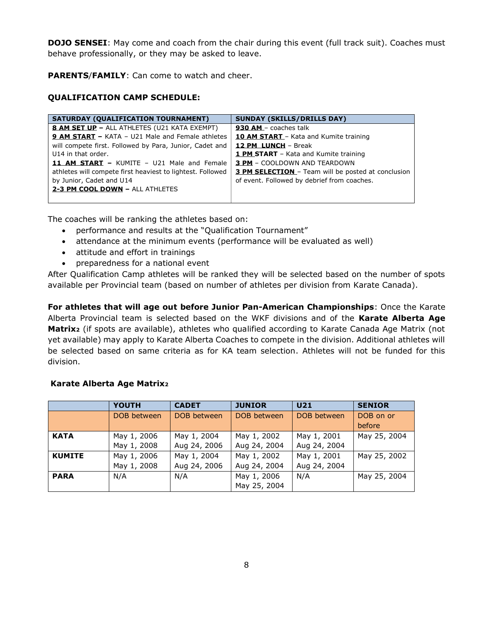**DOJO SENSEI**: May come and coach from the chair during this event (full track suit). Coaches must behave professionally, or they may be asked to leave.

**PARENTS**/**FAMILY**: Can come to watch and cheer.

#### **QUALIFICATION CAMP SCHEDULE:**

| <b>SATURDAY (QUALIFICATION TOURNAMENT)</b>                 | <b>SUNDAY (SKILLS/DRILLS DAY)</b>                         |
|------------------------------------------------------------|-----------------------------------------------------------|
| <b>8 AM SET UP - ALL ATHLETES (U21 KATA EXEMPT)</b>        | 930 AM - coaches talk                                     |
| <b>9 AM START - KATA - U21 Male and Female athletes</b>    | <b>10 AM START</b> - Kata and Kumite training             |
| will compete first. Followed by Para, Junior, Cadet and    | 12 PM LUNCH - Break                                       |
| U14 in that order.                                         | <b>1 PM_START</b> - Kata and Kumite training              |
| <b>11 AM START - KUMITE - U21 Male and Female</b>          | <b>3 PM</b> – COOLDOWN AND TEARDOWN                       |
| athletes will compete first heaviest to lightest. Followed | <b>3 PM SELECTION</b> - Team will be posted at conclusion |
| by Junior, Cadet and U14                                   | of event. Followed by debrief from coaches.               |
| 2-3 PM COOL DOWN - ALL ATHLETES                            |                                                           |
|                                                            |                                                           |

The coaches will be ranking the athletes based on:

- performance and results at the "Qualification Tournament"
- attendance at the minimum events (performance will be evaluated as well)
- attitude and effort in trainings
- preparedness for a national event

After Qualification Camp athletes will be ranked they will be selected based on the number of spots available per Provincial team (based on number of athletes per division from Karate Canada).

**For athletes that will age out before Junior Pan-American Championships**: Once the Karate Alberta Provincial team is selected based on the WKF divisions and of the **Karate Alberta Age Matrix<sup>2</sup>** (if spots are available), athletes who qualified according to Karate Canada Age Matrix (not yet available) may apply to Karate Alberta Coaches to compete in the division. Additional athletes will be selected based on same criteria as for KA team selection. Athletes will not be funded for this division.

#### **Karate Alberta Age Matrix<sup>2</sup>**

|               | <b>YOUTH</b> | <b>CADET</b> | <b>JUNIOR</b> | U <sub>21</sub> | <b>SENIOR</b> |
|---------------|--------------|--------------|---------------|-----------------|---------------|
|               | DOB between  | DOB between  | DOB between   | DOB between     | DOB on or     |
|               |              |              |               |                 | before        |
| <b>KATA</b>   | May 1, 2006  | May 1, 2004  | May 1, 2002   | May 1, 2001     | May 25, 2004  |
|               | May 1, 2008  | Aug 24, 2006 | Aug 24, 2004  | Aug 24, 2004    |               |
| <b>KUMITE</b> | May 1, 2006  | May 1, 2004  | May 1, 2002   | May 1, 2001     | May 25, 2002  |
|               | May 1, 2008  | Aug 24, 2006 | Aug 24, 2004  | Aug 24, 2004    |               |
| <b>PARA</b>   | N/A          | N/A          | May 1, 2006   | N/A             | May 25, 2004  |
|               |              |              | May 25, 2004  |                 |               |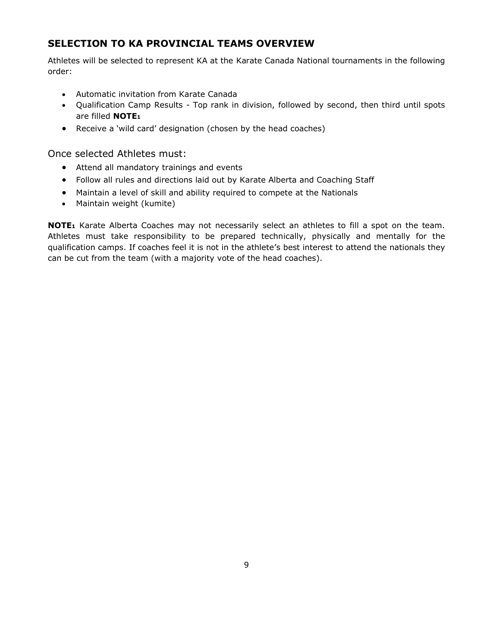## <span id="page-8-0"></span>**SELECTION TO KA PROVINCIAL TEAMS OVERVIEW**

Athletes will be selected to represent KA at the Karate Canada National tournaments in the following order:

- Automatic invitation from Karate Canada
- Qualification Camp Results Top rank in division, followed by second, then third until spots are filled **NOTE<sup>1</sup>**
- Receive a 'wild card' designation (chosen by the head coaches)

Once selected Athletes must:

- Attend all mandatory trainings and events
- Follow all rules and directions laid out by Karate Alberta and Coaching Staff
- Maintain a level of skill and ability required to compete at the Nationals
- Maintain weight (kumite)

**NOTE<sup>1</sup>** Karate Alberta Coaches may not necessarily select an athletes to fill a spot on the team. Athletes must take responsibility to be prepared technically, physically and mentally for the qualification camps. If coaches feel it is not in the athlete's best interest to attend the nationals they can be cut from the team (with a majority vote of the head coaches).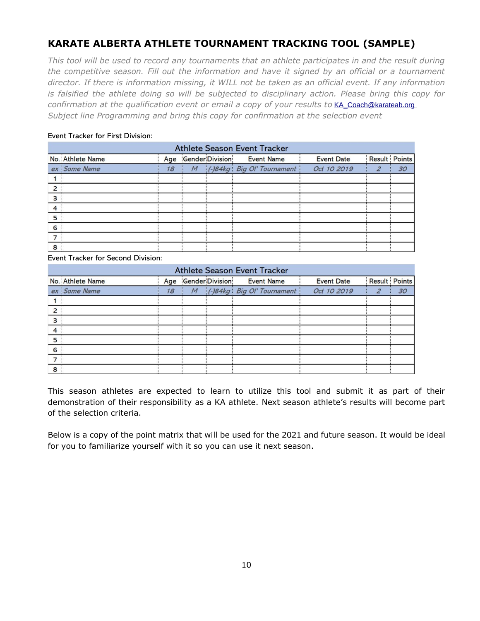## <span id="page-9-0"></span>**KARATE ALBERTA ATHLETE TOURNAMENT TRACKING TOOL (SAMPLE)**

*This tool will be used to record any tournaments that an athlete participates in and the result during the competitive season. Fill out the information and have it signed by an official or a tournament director. If there is information missing, it WILL not be taken as an official event. If any information is falsified the athlete doing so will be subjected to disciplinary action. Please bring this copy for confirmation at the qualification event or email a copy of your results to* [KA\\_Coach@karateab.org](mailto:KA_Coach@karateab.org) *Subject line Programming and bring this copy for confirmation at the selection event*

#### Event Tracker for First Division:

| <b>Athlete Season Event Tracker</b> |                  |    |  |                     |                              |                   |               |    |
|-------------------------------------|------------------|----|--|---------------------|------------------------------|-------------------|---------------|----|
|                                     | No. Athlete Name |    |  | Age Gender Division | <b>Event Name</b>            | <b>Event Date</b> | Result Points |    |
|                                     | ex Some Name     | 18 |  |                     | M (-)84kg Big Ol' Tournament | Oct 10 2019       | 2             | 30 |
|                                     |                  |    |  |                     |                              |                   |               |    |
| 2                                   |                  |    |  |                     |                              |                   |               |    |
| 3                                   |                  |    |  |                     |                              |                   |               |    |
| 4                                   |                  |    |  |                     |                              |                   |               |    |
| 5                                   |                  |    |  |                     |                              |                   |               |    |
| 6                                   |                  |    |  |                     |                              |                   |               |    |
|                                     |                  |    |  |                     |                              |                   |               |    |
| 8                                   |                  |    |  |                     |                              |                   |               |    |

Event Tracker for Second Division:

|   | <b>Athlete Season Event Tracker</b> |    |  |                     |                              |                   |               |    |
|---|-------------------------------------|----|--|---------------------|------------------------------|-------------------|---------------|----|
|   | No. Athlete Name                    |    |  | Age Gender Division | <b>Event Name</b>            | <b>Event Date</b> | Result Points |    |
|   | ex Some Name                        | 18 |  |                     | M (-)84kg Big Ol' Tournament | Oct 10 2019       |               | 30 |
|   |                                     |    |  |                     |                              |                   |               |    |
| 2 |                                     |    |  |                     |                              |                   |               |    |
| 3 |                                     |    |  |                     |                              |                   |               |    |
| 4 |                                     |    |  |                     |                              |                   |               |    |
| 5 |                                     |    |  |                     |                              |                   |               |    |
| 6 |                                     |    |  |                     |                              |                   |               |    |
|   |                                     |    |  |                     |                              |                   |               |    |
| 8 |                                     |    |  |                     |                              |                   |               |    |

This season athletes are expected to learn to utilize this tool and submit it as part of their demonstration of their responsibility as a KA athlete. Next season athlete's results will become part of the selection criteria.

Below is a copy of the point matrix that will be used for the 2021 and future season. It would be ideal for you to familiarize yourself with it so you can use it next season.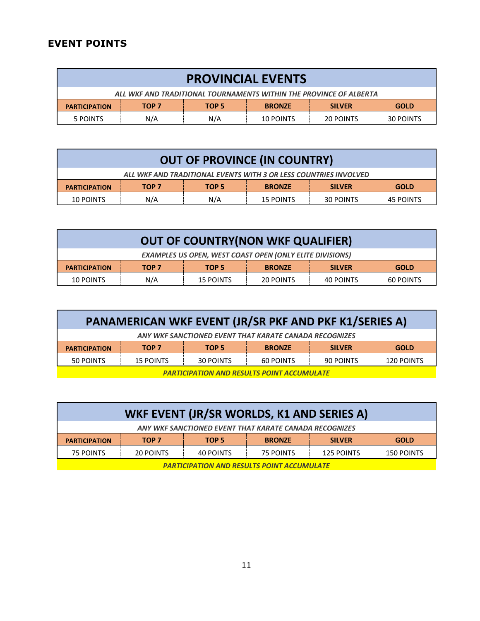## <span id="page-10-0"></span>**EVENT POINTS**

| <b>PROVINCIAL EVENTS</b> |                                                                    |       |               |               |             |  |
|--------------------------|--------------------------------------------------------------------|-------|---------------|---------------|-------------|--|
|                          | ALL WKF AND TRADITIONAL TOURNAMENTS WITHIN THE PROVINCE OF ALBERTA |       |               |               |             |  |
| <b>PARTICIPATION</b>     | TOP 7                                                              | TOP 5 | <b>BRONZE</b> | <b>SILVER</b> | <b>GOLD</b> |  |
| 5 POINTS                 | N/A                                                                | N/A   | 10 POINTS     | 20 POINTS     | 30 POINTS   |  |

| <b>OUT OF PROVINCE (IN COUNTRY)</b>                              |       |       |                  |                  |                  |
|------------------------------------------------------------------|-------|-------|------------------|------------------|------------------|
| ALL WKF AND TRADITIONAL EVENTS WITH 3 OR LESS COUNTRIES INVOLVED |       |       |                  |                  |                  |
| <b>PARTICIPATION</b>                                             | TOP 7 | TOP 5 | <b>BRONZE</b>    | <b>SILVER</b>    | <b>GOLD</b>      |
| 10 POINTS                                                        | N/A   | N/A   | <b>15 POINTS</b> | <b>30 POINTS</b> | <b>45 POINTS</b> |

| <b>OUT OF COUNTRY(NON WKF QUALIFIER)</b>                        |       |                  |               |               |                  |  |
|-----------------------------------------------------------------|-------|------------------|---------------|---------------|------------------|--|
| <b>EXAMPLES US OPEN, WEST COAST OPEN (ONLY ELITE DIVISIONS)</b> |       |                  |               |               |                  |  |
| <b>PARTICIPATION</b>                                            | TOP 7 | TOP 5            | <b>BRONZE</b> | <b>SILVER</b> | <b>GOLD</b>      |  |
| 10 POINTS                                                       | N/A   | <b>15 POINTS</b> | 20 POINTS     | 40 POINTS     | <b>60 POINTS</b> |  |

| <b>PANAMERICAN WKF EVENT (JR/SR PKF AND PKF K1/SERIES A)</b>                              |                  |       |               |               |             |  |
|-------------------------------------------------------------------------------------------|------------------|-------|---------------|---------------|-------------|--|
| ANY WKF SANCTIONED EVENT THAT KARATE CANADA RECOGNIZES                                    |                  |       |               |               |             |  |
| <b>PARTICIPATION</b>                                                                      | TOP <sub>7</sub> | TOP 5 | <b>BRONZE</b> | <b>SILVER</b> | <b>GOLD</b> |  |
| 50 POINTS<br>30 POINTS<br><b>15 POINTS</b><br>60 POINTS<br>90 POINTS<br><b>120 POINTS</b> |                  |       |               |               |             |  |
| <b>PARTICIPATION AND RESILITS POINT ACCLIMILLATE</b>                                      |                  |       |               |               |             |  |

| <b>PARTICIPATION AND RESULTS POINT ACCUMULATE</b> |  |
|---------------------------------------------------|--|
|                                                   |  |

| WKF EVENT (JR/SR WORLDS, K1 AND SERIES A)                                                         |  |  |  |  |  |  |
|---------------------------------------------------------------------------------------------------|--|--|--|--|--|--|
| ANY WKF SANCTIONED EVENT THAT KARATE CANADA RECOGNIZES                                            |  |  |  |  |  |  |
| <b>SILVER</b><br><b>GOLD</b><br>TOP 5<br><b>BRONZE</b><br>TOP 7<br><b>PARTICIPATION</b>           |  |  |  |  |  |  |
| <b>75 POINTS</b><br><b>125 POINTS</b><br>20 POINTS<br>40 POINTS<br><b>150 POINTS</b><br>75 POINTS |  |  |  |  |  |  |
| <b>PARTICIPATION AND RESULTS POINT ACCUMULATE</b>                                                 |  |  |  |  |  |  |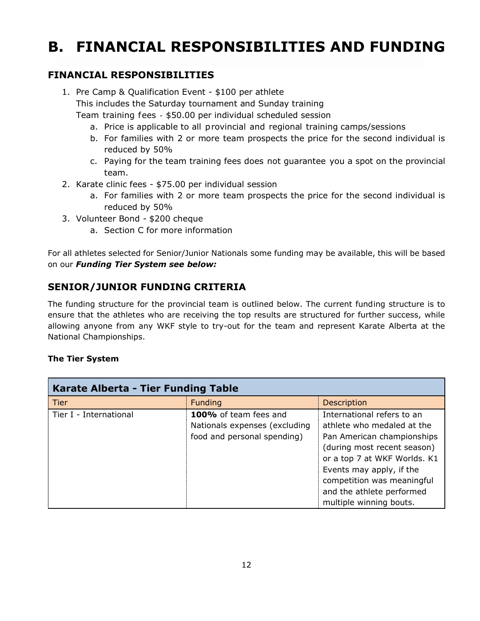## <span id="page-11-0"></span>**B. FINANCIAL RESPONSIBILITIES AND FUNDING**

## <span id="page-11-1"></span>**FINANCIAL RESPONSIBILITIES**

- 1. Pre Camp & Qualification Event \$100 per athlete This includes the Saturday tournament and Sunday training Team training fees ‐ \$50.00 per individual scheduled session
	- a. Price is applicable to all provincial and regional training camps/sessions
	- b. For families with 2 or more team prospects the price for the second individual is reduced by 50%
	- c. Paying for the team training fees does not guarantee you a spot on the provincial team.
- 2. Karate clinic fees \$75.00 per individual session
	- a. For families with 2 or more team prospects the price for the second individual is reduced by 50%
- 3. Volunteer Bond \$200 cheque
	- a. Section [C](#page-13-0) for more information

For all athletes selected for Senior/Junior Nationals some funding may be available, this will be based on our *Funding Tier System see below:*

## <span id="page-11-2"></span>**SENIOR/JUNIOR FUNDING CRITERIA**

The funding structure for the provincial team is outlined below. The current funding structure is to ensure that the athletes who are receiving the top results are structured for further success, while allowing anyone from any WKF style to try-out for the team and represent Karate Alberta at the National Championships.

#### **The Tier System**

| Karate Alberta - Tier Funding Table |                                                                                       |                                                                                                                                                                                                                                                                         |  |  |
|-------------------------------------|---------------------------------------------------------------------------------------|-------------------------------------------------------------------------------------------------------------------------------------------------------------------------------------------------------------------------------------------------------------------------|--|--|
| <b>Tier</b>                         | <b>Funding</b>                                                                        | <b>Description</b>                                                                                                                                                                                                                                                      |  |  |
| Tier I - International              | 100% of team fees and<br>Nationals expenses (excluding<br>food and personal spending) | International refers to an<br>athlete who medaled at the<br>Pan American championships<br>(during most recent season)<br>or a top 7 at WKF Worlds. K1<br>Events may apply, if the<br>competition was meaningful<br>and the athlete performed<br>multiple winning bouts. |  |  |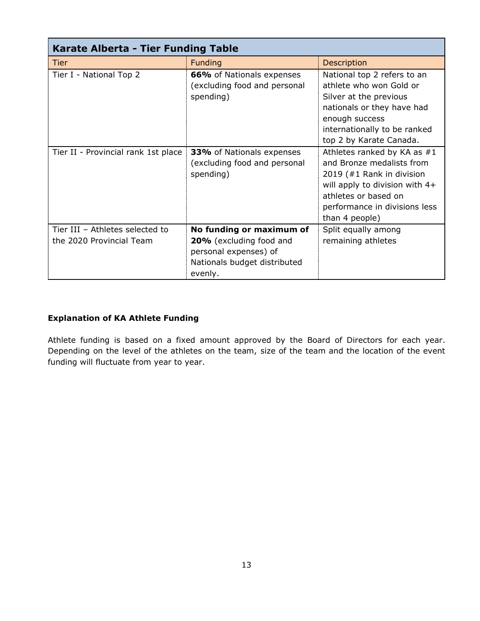| Karate Alberta - Tier Funding Table                         |                                                                                                                         |                                                                                                                                                                                                      |  |  |
|-------------------------------------------------------------|-------------------------------------------------------------------------------------------------------------------------|------------------------------------------------------------------------------------------------------------------------------------------------------------------------------------------------------|--|--|
| Tier                                                        | <b>Funding</b>                                                                                                          | <b>Description</b>                                                                                                                                                                                   |  |  |
| Tier I - National Top 2                                     | 66% of Nationals expenses<br>(excluding food and personal<br>spending)                                                  | National top 2 refers to an<br>athlete who won Gold or<br>Silver at the previous<br>nationals or they have had<br>enough success<br>internationally to be ranked<br>top 2 by Karate Canada.          |  |  |
| Tier II - Provincial rank 1st place                         | <b>33%</b> of Nationals expenses<br>(excluding food and personal<br>spending)                                           | Athletes ranked by KA as $#1$<br>and Bronze medalists from<br>2019 (#1 Rank in division<br>will apply to division with 4+<br>athletes or based on<br>performance in divisions less<br>than 4 people) |  |  |
| Tier III - Athletes selected to<br>the 2020 Provincial Team | No funding or maximum of<br>20% (excluding food and<br>personal expenses) of<br>Nationals budget distributed<br>evenly. | Split equally among<br>remaining athletes                                                                                                                                                            |  |  |

#### **Explanation of KA Athlete Funding**

Athlete funding is based on a fixed amount approved by the Board of Directors for each year. Depending on the level of the athletes on the team, size of the team and the location of the event funding will fluctuate from year to year.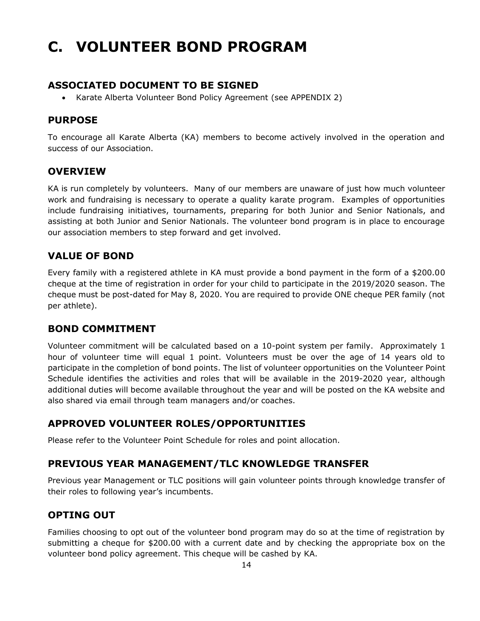## <span id="page-13-0"></span>**C. VOLUNTEER BOND PROGRAM**

#### **ASSOCIATED DOCUMENT TO BE SIGNED**

• Karate Alberta Volunteer Bond Policy Agreement (see [APPENDIX 2\)](#page-24-0)

#### <span id="page-13-1"></span>**PURPOSE**

To encourage all Karate Alberta (KA) members to become actively involved in the operation and success of our Association.

#### <span id="page-13-2"></span>**OVERVIEW**

KA is run completely by volunteers. Many of our members are unaware of just how much volunteer work and fundraising is necessary to operate a quality karate program. Examples of opportunities include fundraising initiatives, tournaments, preparing for both Junior and Senior Nationals, and assisting at both Junior and Senior Nationals. The volunteer bond program is in place to encourage our association members to step forward and get involved.

## <span id="page-13-3"></span>**VALUE OF BOND**

Every family with a registered athlete in KA must provide a bond payment in the form of a \$200.00 cheque at the time of registration in order for your child to participate in the 2019/2020 season. The cheque must be post-dated for May 8, 2020. You are required to provide ONE cheque PER family (not per athlete).

#### <span id="page-13-4"></span>**BOND COMMITMENT**

Volunteer commitment will be calculated based on a 10-point system per family. Approximately 1 hour of volunteer time will equal 1 point. Volunteers must be over the age of 14 years old to participate in the completion of bond points. The list of volunteer opportunities on the Volunteer Point Schedule identifies the activities and roles that will be available in the 2019-2020 year, although additional duties will become available throughout the year and will be posted on the KA website and also shared via email through team managers and/or coaches.

#### <span id="page-13-5"></span>**APPROVED VOLUNTEER ROLES/OPPORTUNITIES**

Please refer to the Volunteer Point Schedule for roles and point allocation.

#### <span id="page-13-6"></span>**PREVIOUS YEAR MANAGEMENT/TLC KNOWLEDGE TRANSFER**

Previous year Management or TLC positions will gain volunteer points through knowledge transfer of their roles to following year's incumbents.

#### <span id="page-13-7"></span>**OPTING OUT**

Families choosing to opt out of the volunteer bond program may do so at the time of registration by submitting a cheque for \$200.00 with a current date and by checking the appropriate box on the volunteer bond policy agreement. This cheque will be cashed by KA.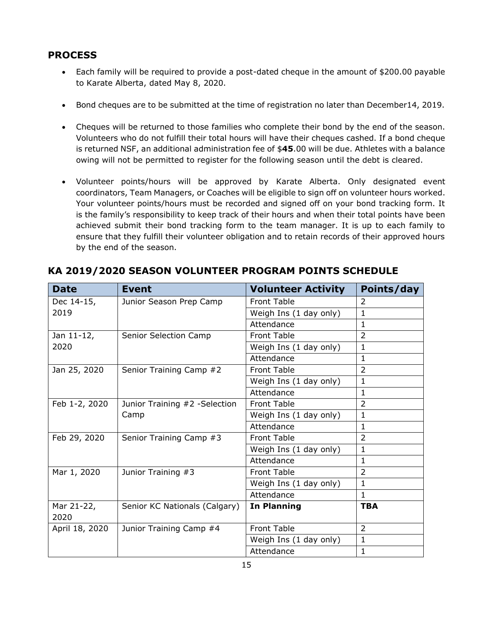## <span id="page-14-0"></span>**PROCESS**

- Each family will be required to provide a post-dated cheque in the amount of \$200.00 payable to Karate Alberta, dated May 8, 2020.
- Bond cheques are to be submitted at the time of registration no later than December14, 2019.
- Cheques will be returned to those families who complete their bond by the end of the season. Volunteers who do not fulfill their total hours will have their cheques cashed. If a bond cheque is returned NSF, an additional administration fee of \$**45**.00 will be due. Athletes with a balance owing will not be permitted to register for the following season until the debt is cleared.
- Volunteer points/hours will be approved by Karate Alberta. Only designated event coordinators, Team Managers, or Coaches will be eligible to sign off on volunteer hours worked. Your volunteer points/hours must be recorded and signed off on your bond tracking form. It is the family's responsibility to keep track of their hours and when their total points have been achieved submit their bond tracking form to the team manager. It is up to each family to ensure that they fulfill their volunteer obligation and to retain records of their approved hours by the end of the season.

| <b>Date</b>        | <b>Event</b>                  | <b>Volunteer Activity</b> | Points/day     |
|--------------------|-------------------------------|---------------------------|----------------|
| Dec 14-15,         | Junior Season Prep Camp       | <b>Front Table</b>        | $\overline{2}$ |
| 2019               |                               | Weigh Ins (1 day only)    | $\mathbf{1}$   |
|                    |                               | Attendance                | $\mathbf{1}$   |
| Jan 11-12,         | Senior Selection Camp         | <b>Front Table</b>        | $\overline{2}$ |
| 2020               |                               | Weigh Ins (1 day only)    | 1              |
|                    |                               | Attendance                | $\mathbf{1}$   |
| Jan 25, 2020       | Senior Training Camp #2       | <b>Front Table</b>        | $\overline{2}$ |
|                    |                               | Weigh Ins (1 day only)    | $\mathbf{1}$   |
|                    |                               | Attendance                | $\mathbf{1}$   |
| Feb 1-2, 2020      | Junior Training #2 -Selection | <b>Front Table</b>        | $\overline{2}$ |
|                    | Camp                          | Weigh Ins (1 day only)    | $\mathbf{1}$   |
|                    |                               | Attendance                | $\mathbf{1}$   |
| Feb 29, 2020       | Senior Training Camp #3       | <b>Front Table</b>        | $\overline{2}$ |
|                    |                               | Weigh Ins (1 day only)    | $\mathbf{1}$   |
|                    |                               | Attendance                | $\mathbf{1}$   |
| Mar 1, 2020        | Junior Training #3            | <b>Front Table</b>        | $\overline{2}$ |
|                    |                               | Weigh Ins (1 day only)    | $\mathbf{1}$   |
|                    |                               | Attendance                | $\mathbf{1}$   |
| Mar 21-22,<br>2020 | Senior KC Nationals (Calgary) | In Planning               | <b>TBA</b>     |
| April 18, 2020     | Junior Training Camp #4       | <b>Front Table</b>        | 2              |
|                    |                               | Weigh Ins (1 day only)    | $\mathbf{1}$   |
|                    |                               | Attendance                | $\mathbf{1}$   |

## <span id="page-14-1"></span>**KA 2019/2020 SEASON VOLUNTEER PROGRAM POINTS SCHEDULE**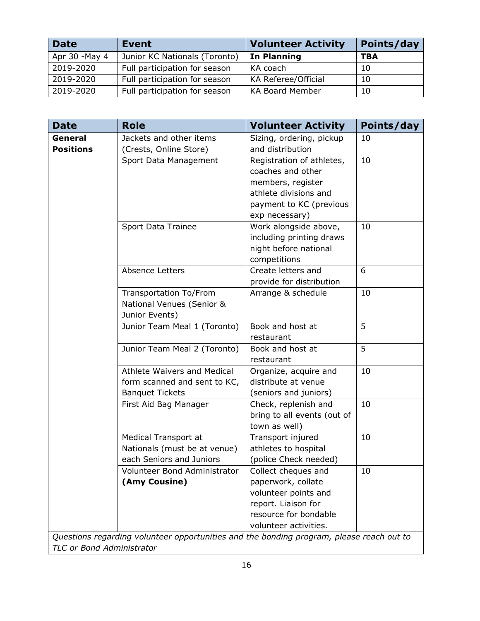| <b>Date</b>    | <b>Event</b>                  | <b>Volunteer Activity</b> | Points/day |
|----------------|-------------------------------|---------------------------|------------|
| Apr 30 - May 4 | Junior KC Nationals (Toronto) | In Planning               | TBA        |
| 2019-2020      | Full participation for season | KA coach                  | 10         |
| 2019-2020      | Full participation for season | KA Referee/Official       | 10         |
| 2019-2020      | Full participation for season | <b>KA Board Member</b>    | 10         |

| <b>Date</b>      | <b>Role</b>                                                                              | <b>Volunteer Activity</b>                 | Points/day |
|------------------|------------------------------------------------------------------------------------------|-------------------------------------------|------------|
| General          | Jackets and other items                                                                  | Sizing, ordering, pickup                  | 10         |
| <b>Positions</b> | (Crests, Online Store)                                                                   | and distribution                          |            |
|                  | Sport Data Management                                                                    | Registration of athletes,                 | 10         |
|                  |                                                                                          | coaches and other                         |            |
|                  |                                                                                          | members, register                         |            |
|                  |                                                                                          | athlete divisions and                     |            |
|                  |                                                                                          | payment to KC (previous                   |            |
|                  |                                                                                          | exp necessary)                            |            |
|                  | Sport Data Trainee                                                                       | Work alongside above,                     | 10         |
|                  |                                                                                          | including printing draws                  |            |
|                  |                                                                                          | night before national                     |            |
|                  |                                                                                          | competitions                              |            |
|                  | Absence Letters                                                                          | Create letters and                        | 6          |
|                  |                                                                                          | provide for distribution                  |            |
|                  | Transportation To/From                                                                   | Arrange & schedule                        | 10         |
|                  | National Venues (Senior &                                                                |                                           |            |
|                  | Junior Events)                                                                           |                                           |            |
|                  | Junior Team Meal 1 (Toronto)                                                             | Book and host at                          | 5          |
|                  |                                                                                          | restaurant                                |            |
|                  | Junior Team Meal 2 (Toronto)                                                             | Book and host at                          | 5          |
|                  |                                                                                          | restaurant                                |            |
|                  | Athlete Waivers and Medical                                                              | Organize, acquire and                     | 10         |
|                  | form scanned and sent to KC,                                                             | distribute at venue                       |            |
|                  | <b>Banquet Tickets</b>                                                                   | (seniors and juniors)                     |            |
|                  | First Aid Bag Manager                                                                    | Check, replenish and                      | 10         |
|                  |                                                                                          | bring to all events (out of               |            |
|                  |                                                                                          | town as well)                             |            |
|                  | Medical Transport at                                                                     | Transport injured                         | 10         |
|                  | Nationals (must be at venue)<br>each Seniors and Juniors                                 | athletes to hospital                      |            |
|                  | Volunteer Bond Administrator                                                             | (police Check needed)                     |            |
|                  | (Amy Cousine)                                                                            | Collect cheques and<br>paperwork, collate | 10         |
|                  |                                                                                          | volunteer points and                      |            |
|                  |                                                                                          | report. Liaison for                       |            |
|                  |                                                                                          | resource for bondable                     |            |
|                  |                                                                                          | volunteer activities.                     |            |
|                  | Questions regarding volunteer opportunities and the bonding program, please reach out to |                                           |            |

*TLC or Bond Administrator*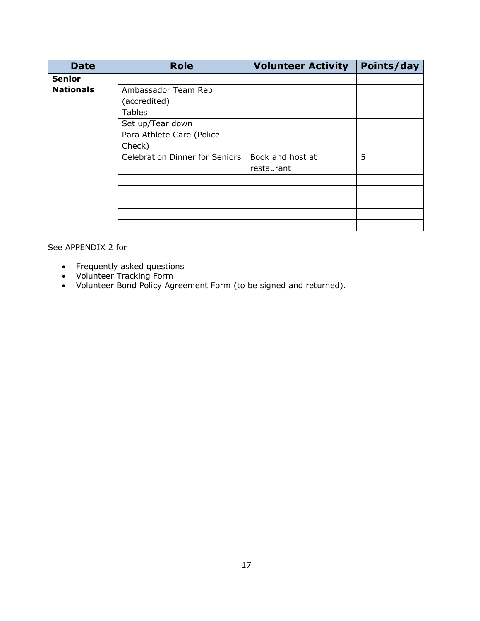| <b>Date</b>      | <b>Role</b>                           | <b>Volunteer Activity</b>      | Points/day |
|------------------|---------------------------------------|--------------------------------|------------|
| <b>Senior</b>    |                                       |                                |            |
| <b>Nationals</b> | Ambassador Team Rep                   |                                |            |
|                  | (accredited)                          |                                |            |
|                  | <b>Tables</b>                         |                                |            |
|                  | Set up/Tear down                      |                                |            |
|                  | Para Athlete Care (Police             |                                |            |
|                  | Check)                                |                                |            |
|                  | <b>Celebration Dinner for Seniors</b> | Book and host at<br>restaurant | 5          |
|                  |                                       |                                |            |
|                  |                                       |                                |            |
|                  |                                       |                                |            |
|                  |                                       |                                |            |
|                  |                                       |                                |            |

See [APPENDIX 2](#page-24-0) for

- Frequently asked questions
- Volunteer Tracking Form
- Volunteer Bond Policy Agreement Form (to be signed and returned).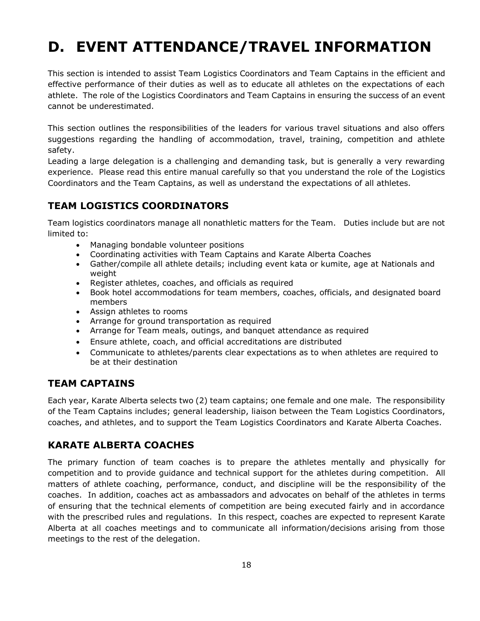## <span id="page-17-0"></span>**D. EVENT ATTENDANCE/TRAVEL INFORMATION**

This section is intended to assist Team Logistics Coordinators and Team Captains in the efficient and effective performance of their duties as well as to educate all athletes on the expectations of each athlete. The role of the Logistics Coordinators and Team Captains in ensuring the success of an event cannot be underestimated.

This section outlines the responsibilities of the leaders for various travel situations and also offers suggestions regarding the handling of accommodation, travel, training, competition and athlete safety.

Leading a large delegation is a challenging and demanding task, but is generally a very rewarding experience. Please read this entire manual carefully so that you understand the role of the Logistics Coordinators and the Team Captains, as well as understand the expectations of all athletes.

## <span id="page-17-1"></span>**TEAM LOGISTICS COORDINATORS**

Team logistics coordinators manage all nonathletic matters for the Team. Duties include but are not limited to:

- Managing bondable volunteer positions
- Coordinating activities with Team Captains and Karate Alberta Coaches
- Gather/compile all athlete details; including event kata or kumite, age at Nationals and weight
- Register athletes, coaches, and officials as required
- Book hotel accommodations for team members, coaches, officials, and designated board members
- Assign athletes to rooms
- Arrange for ground transportation as required
- Arrange for Team meals, outings, and banquet attendance as required
- Ensure athlete, coach, and official accreditations are distributed
- Communicate to athletes/parents clear expectations as to when athletes are required to be at their destination

#### <span id="page-17-2"></span>**TEAM CAPTAINS**

Each year, Karate Alberta selects two (2) team captains; one female and one male. The responsibility of the Team Captains includes; general leadership, liaison between the Team Logistics Coordinators, coaches, and athletes, and to support the Team Logistics Coordinators and Karate Alberta Coaches.

#### <span id="page-17-3"></span>**KARATE ALBERTA COACHES**

The primary function of team coaches is to prepare the athletes mentally and physically for competition and to provide guidance and technical support for the athletes during competition. All matters of athlete coaching, performance, conduct, and discipline will be the responsibility of the coaches. In addition, coaches act as ambassadors and advocates on behalf of the athletes in terms of ensuring that the technical elements of competition are being executed fairly and in accordance with the prescribed rules and regulations. In this respect, coaches are expected to represent Karate Alberta at all coaches meetings and to communicate all information/decisions arising from those meetings to the rest of the delegation.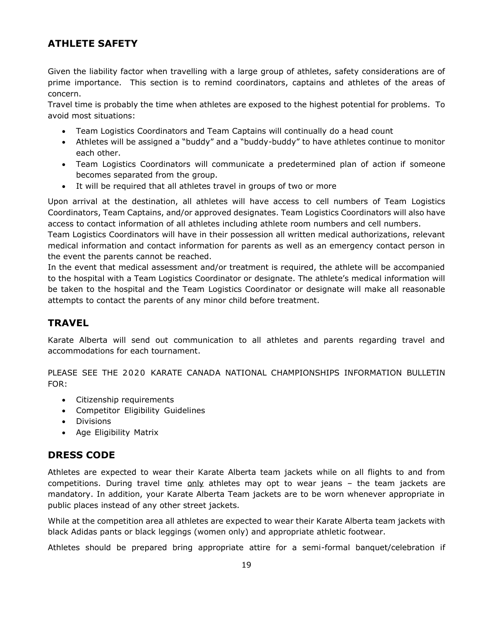## <span id="page-18-0"></span>**ATHLETE SAFETY**

Given the liability factor when travelling with a large group of athletes, safety considerations are of prime importance. This section is to remind coordinators, captains and athletes of the areas of concern.

Travel time is probably the time when athletes are exposed to the highest potential for problems. To avoid most situations:

- Team Logistics Coordinators and Team Captains will continually do a head count
- Athletes will be assigned a "buddy" and a "buddy-buddy" to have athletes continue to monitor each other.
- Team Logistics Coordinators will communicate a predetermined plan of action if someone becomes separated from the group.
- It will be required that all athletes travel in groups of two or more

Upon arrival at the destination, all athletes will have access to cell numbers of Team Logistics Coordinators, Team Captains, and/or approved designates. Team Logistics Coordinators will also have access to contact information of all athletes including athlete room numbers and cell numbers.

Team Logistics Coordinators will have in their possession all written medical authorizations, relevant medical information and contact information for parents as well as an emergency contact person in the event the parents cannot be reached.

In the event that medical assessment and/or treatment is required, the athlete will be accompanied to the hospital with a Team Logistics Coordinator or designate. The athlete's medical information will be taken to the hospital and the Team Logistics Coordinator or designate will make all reasonable attempts to contact the parents of any minor child before treatment.

#### <span id="page-18-1"></span>**TRAVEL**

Karate Alberta will send out communication to all athletes and parents regarding travel and accommodations for each tournament.

PLEASE SEE THE 2020 KARATE CANADA NATIONAL CHAMPIONSHIPS INFORMATION BULLETIN FOR:

- Citizenship requirements
- Competitor Eligibility Guidelines
- Divisions
- Age Eligibility Matrix

#### <span id="page-18-2"></span>**DRESS CODE**

Athletes are expected to wear their Karate Alberta team jackets while on all flights to and from competitions. During travel time  $only$  athletes may opt to wear jeans  $-$  the team jackets are mandatory. In addition, your Karate Alberta Team jackets are to be worn whenever appropriate in public places instead of any other street jackets.

While at the competition area all athletes are expected to wear their Karate Alberta team jackets with black Adidas pants or black leggings (women only) and appropriate athletic footwear.

Athletes should be prepared bring appropriate attire for a semi-formal banquet/celebration if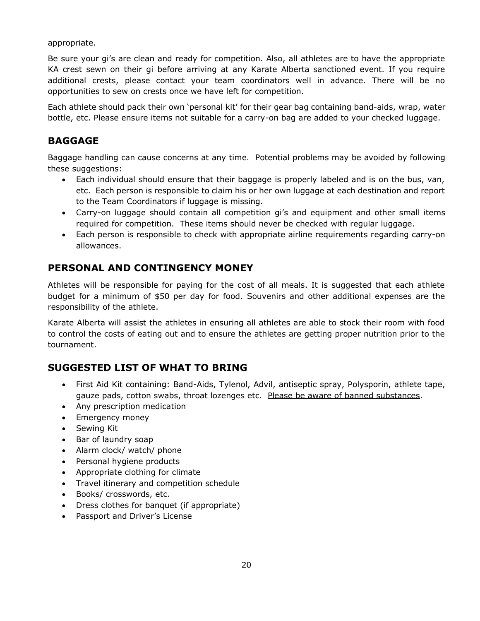appropriate.

Be sure your gi's are clean and ready for competition. Also, all athletes are to have the appropriate KA crest sewn on their gi before arriving at any Karate Alberta sanctioned event. If you require additional crests, please contact your team coordinators well in advance. There will be no opportunities to sew on crests once we have left for competition.

Each athlete should pack their own 'personal kit' for their gear bag containing band-aids, wrap, water bottle, etc. Please ensure items not suitable for a carry-on bag are added to your checked luggage.

## <span id="page-19-0"></span>**BAGGAGE**

Baggage handling can cause concerns at any time. Potential problems may be avoided by following these suggestions:

- Each individual should ensure that their baggage is properly labeled and is on the bus, van, etc. Each person is responsible to claim his or her own luggage at each destination and report to the Team Coordinators if luggage is missing.
- Carry-on luggage should contain all competition gi's and equipment and other small items required for competition. These items should never be checked with regular luggage.
- Each person is responsible to check with appropriate airline requirements regarding carry-on allowances.

## <span id="page-19-1"></span>**PERSONAL AND CONTINGENCY MONEY**

Athletes will be responsible for paying for the cost of all meals. It is suggested that each athlete budget for a minimum of \$50 per day for food. Souvenirs and other additional expenses are the responsibility of the athlete.

Karate Alberta will assist the athletes in ensuring all athletes are able to stock their room with food to control the costs of eating out and to ensure the athletes are getting proper nutrition prior to the tournament.

## <span id="page-19-2"></span>**SUGGESTED LIST OF WHAT TO BRING**

- First Aid Kit containing: Band-Aids, Tylenol, Advil, antiseptic spray, Polysporin, athlete tape, gauze pads, cotton swabs, throat lozenges etc. Please be aware of banned substances.
- Any prescription medication
- Emergency money
- Sewing Kit
- Bar of laundry soap
- Alarm clock/ watch/ phone
- Personal hygiene products
- Appropriate clothing for climate
- Travel itinerary and competition schedule
- Books/ crosswords, etc.
- Dress clothes for banquet (if appropriate)
- Passport and Driver's License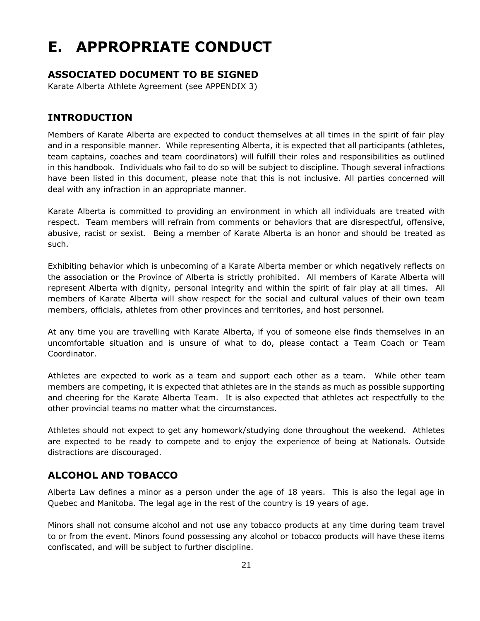# <span id="page-20-0"></span>**E. APPROPRIATE CONDUCT**

## **ASSOCIATED DOCUMENT TO BE SIGNED**

Karate Alberta Athlete Agreement (see APPENDIX 3)

## <span id="page-20-1"></span>**INTRODUCTION**

Members of Karate Alberta are expected to conduct themselves at all times in the spirit of fair play and in a responsible manner. While representing Alberta, it is expected that all participants (athletes, team captains, coaches and team coordinators) will fulfill their roles and responsibilities as outlined in this handbook. Individuals who fail to do so will be subject to discipline. Though several infractions have been listed in this document, please note that this is not inclusive. All parties concerned will deal with any infraction in an appropriate manner.

Karate Alberta is committed to providing an environment in which all individuals are treated with respect. Team members will refrain from comments or behaviors that are disrespectful, offensive, abusive, racist or sexist. Being a member of Karate Alberta is an honor and should be treated as such.

Exhibiting behavior which is unbecoming of a Karate Alberta member or which negatively reflects on the association or the Province of Alberta is strictly prohibited. All members of Karate Alberta will represent Alberta with dignity, personal integrity and within the spirit of fair play at all times. All members of Karate Alberta will show respect for the social and cultural values of their own team members, officials, athletes from other provinces and territories, and host personnel.

At any time you are travelling with Karate Alberta, if you of someone else finds themselves in an uncomfortable situation and is unsure of what to do, please contact a Team Coach or Team Coordinator.

Athletes are expected to work as a team and support each other as a team. While other team members are competing, it is expected that athletes are in the stands as much as possible supporting and cheering for the Karate Alberta Team. It is also expected that athletes act respectfully to the other provincial teams no matter what the circumstances.

Athletes should not expect to get any homework/studying done throughout the weekend. Athletes are expected to be ready to compete and to enjoy the experience of being at Nationals. Outside distractions are discouraged.

#### <span id="page-20-2"></span>**ALCOHOL AND TOBACCO**

Alberta Law defines a minor as a person under the age of 18 years. This is also the legal age in Quebec and Manitoba. The legal age in the rest of the country is 19 years of age.

Minors shall not consume alcohol and not use any tobacco products at any time during team travel to or from the event. Minors found possessing any alcohol or tobacco products will have these items confiscated, and will be subject to further discipline.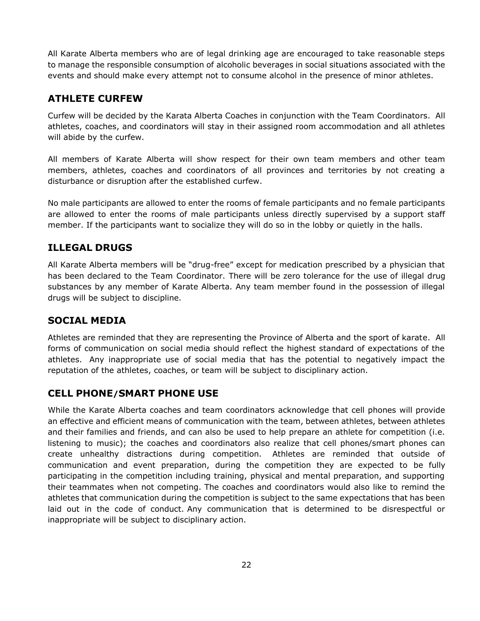All Karate Alberta members who are of legal drinking age are encouraged to take reasonable steps to manage the responsible consumption of alcoholic beverages in social situations associated with the events and should make every attempt not to consume alcohol in the presence of minor athletes.

#### <span id="page-21-0"></span>**ATHLETE CURFEW**

Curfew will be decided by the Karata Alberta Coaches in conjunction with the Team Coordinators. All athletes, coaches, and coordinators will stay in their assigned room accommodation and all athletes will abide by the curfew.

All members of Karate Alberta will show respect for their own team members and other team members, athletes, coaches and coordinators of all provinces and territories by not creating a disturbance or disruption after the established curfew.

No male participants are allowed to enter the rooms of female participants and no female participants are allowed to enter the rooms of male participants unless directly supervised by a support staff member. If the participants want to socialize they will do so in the lobby or quietly in the halls.

## <span id="page-21-1"></span>**ILLEGAL DRUGS**

All Karate Alberta members will be "drug-free" except for medication prescribed by a physician that has been declared to the Team Coordinator. There will be zero tolerance for the use of illegal drug substances by any member of Karate Alberta. Any team member found in the possession of illegal drugs will be subject to discipline.

#### <span id="page-21-2"></span>**SOCIAL MEDIA**

Athletes are reminded that they are representing the Province of Alberta and the sport of karate. All forms of communication on social media should reflect the highest standard of expectations of the athletes. Any inappropriate use of social media that has the potential to negatively impact the reputation of the athletes, coaches, or team will be subject to disciplinary action.

#### <span id="page-21-3"></span>**CELL PHONE/SMART PHONE USE**

While the Karate Alberta coaches and team coordinators acknowledge that cell phones will provide an effective and efficient means of communication with the team, between athletes, between athletes and their families and friends, and can also be used to help prepare an athlete for competition (i.e. listening to music); the coaches and coordinators also realize that cell phones/smart phones can create unhealthy distractions during competition. Athletes are reminded that outside of communication and event preparation, during the competition they are expected to be fully participating in the competition including training, physical and mental preparation, and supporting their teammates when not competing. The coaches and coordinators would also like to remind the athletes that communication during the competition is subject to the same expectations that has been laid out in the code of conduct. Any communication that is determined to be disrespectful or inappropriate will be subject to disciplinary action.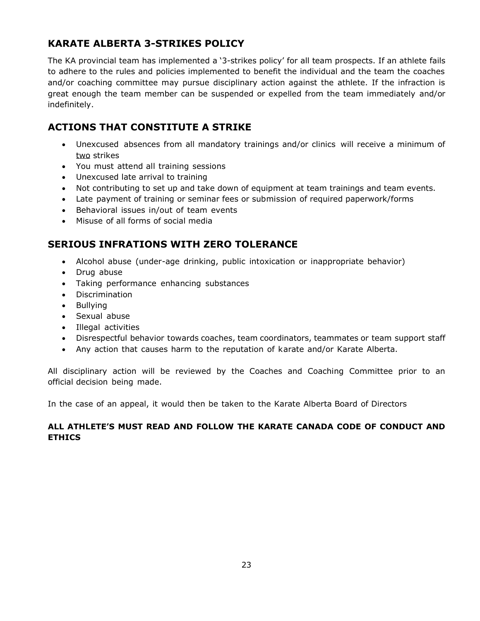## <span id="page-22-0"></span>**KARATE ALBERTA 3-STRIKES POLICY**

The KA provincial team has implemented a '3-strikes policy' for all team prospects. If an athlete fails to adhere to the rules and policies implemented to benefit the individual and the team the coaches and/or coaching committee may pursue disciplinary action against the athlete. If the infraction is great enough the team member can be suspended or expelled from the team immediately and/or indefinitely.

## <span id="page-22-1"></span>**ACTIONS THAT CONSTITUTE A STRIKE**

- Unexcused absences from all mandatory trainings and/or clinics will receive a minimum of two strikes
- You must attend all training sessions
- Unexcused late arrival to training
- Not contributing to set up and take down of equipment at team trainings and team events.
- Late payment of training or seminar fees or submission of required paperwork/forms
- Behavioral issues in/out of team events
- Misuse of all forms of social media

## <span id="page-22-2"></span>**SERIOUS INFRATIONS WITH ZERO TOLERANCE**

- Alcohol abuse (under-age drinking, public intoxication or inappropriate behavior)
- Drug abuse
- Taking performance enhancing substances
- Discrimination
- Bullying
- Sexual abuse
- Illegal activities
- Disrespectful behavior towards coaches, team coordinators, teammates or team support staff
- Any action that causes harm to the reputation of karate and/or Karate Alberta.

All disciplinary action will be reviewed by the Coaches and Coaching Committee prior to an official decision being made.

In the case of an appeal, it would then be taken to the Karate Alberta Board of Directors

#### **ALL ATHLETE'S MUST READ AND FOLLOW THE KARATE CANADA CODE OF CONDUCT AND ETHICS**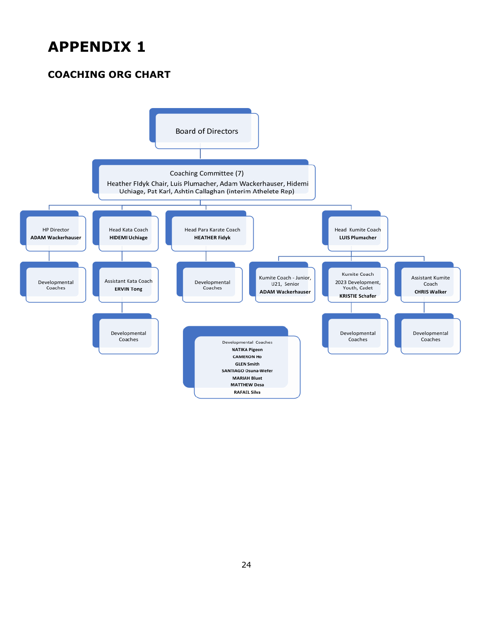## <span id="page-23-0"></span>**APPENDIX 1**

## <span id="page-23-1"></span>**COACHING ORG CHART**

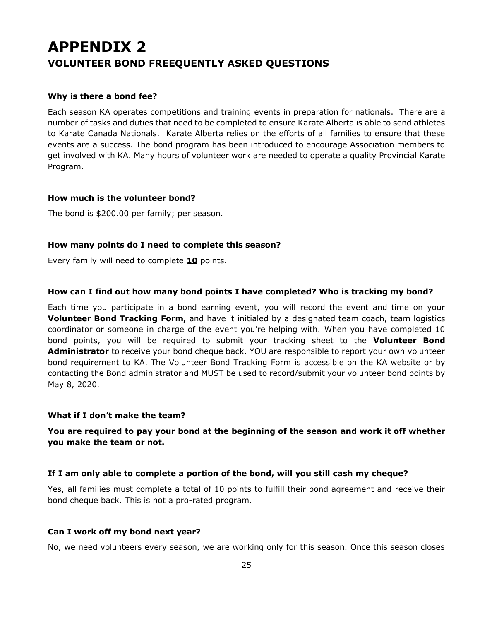## <span id="page-24-1"></span><span id="page-24-0"></span>**APPENDIX 2 VOLUNTEER BOND FREEQUENTLY ASKED QUESTIONS**

#### **Why is there a bond fee?**

Each season KA operates competitions and training events in preparation for nationals. There are a number of tasks and duties that need to be completed to ensure Karate Alberta is able to send athletes to Karate Canada Nationals. Karate Alberta relies on the efforts of all families to ensure that these events are a success. The bond program has been introduced to encourage Association members to get involved with KA. Many hours of volunteer work are needed to operate a quality Provincial Karate Program.

#### **How much is the volunteer bond?**

The bond is \$200.00 per family; per season.

#### **How many points do I need to complete this season?**

Every family will need to complete **10** points.

#### **How can I find out how many bond points I have completed? Who is tracking my bond?**

Each time you participate in a bond earning event, you will record the event and time on your **Volunteer Bond Tracking Form,** and have it initialed by a designated team coach, team logistics coordinator or someone in charge of the event you're helping with. When you have completed 10 bond points, you will be required to submit your tracking sheet to the **Volunteer Bond Administrator** to receive your bond cheque back. YOU are responsible to report your own volunteer bond requirement to KA. The Volunteer Bond Tracking Form is accessible on the KA website or by contacting the Bond administrator and MUST be used to record/submit your volunteer bond points by May 8, 2020.

#### **What if I don't make the team?**

#### **You are required to pay your bond at the beginning of the season and work it off whether you make the team or not.**

#### **If I am only able to complete a portion of the bond, will you still cash my cheque?**

Yes, all families must complete a total of 10 points to fulfill their bond agreement and receive their bond cheque back. This is not a pro-rated program.

#### **Can I work off my bond next year?**

No, we need volunteers every season, we are working only for this season. Once this season closes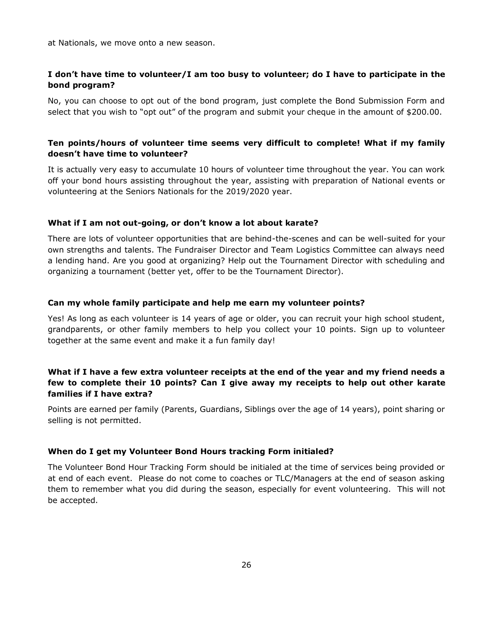at Nationals, we move onto a new season.

#### **I don't have time to volunteer/I am too busy to volunteer; do I have to participate in the bond program?**

No, you can choose to opt out of the bond program, just complete the Bond Submission Form and select that you wish to "opt out" of the program and submit your cheque in the amount of \$200.00.

#### **Ten points/hours of volunteer time seems very difficult to complete! What if my family doesn't have time to volunteer?**

It is actually very easy to accumulate 10 hours of volunteer time throughout the year. You can work off your bond hours assisting throughout the year, assisting with preparation of National events or volunteering at the Seniors Nationals for the 2019/2020 year.

#### **What if I am not out-going, or don't know a lot about karate?**

There are lots of volunteer opportunities that are behind-the-scenes and can be well-suited for your own strengths and talents. The Fundraiser Director and Team Logistics Committee can always need a lending hand. Are you good at organizing? Help out the Tournament Director with scheduling and organizing a tournament (better yet, offer to be the Tournament Director).

#### **Can my whole family participate and help me earn my volunteer points?**

Yes! As long as each volunteer is 14 years of age or older, you can recruit your high school student, grandparents, or other family members to help you collect your 10 points. Sign up to volunteer together at the same event and make it a fun family day!

#### **What if I have a few extra volunteer receipts at the end of the year and my friend needs a few to complete their 10 points? Can I give away my receipts to help out other karate families if I have extra?**

Points are earned per family (Parents, Guardians, Siblings over the age of 14 years), point sharing or selling is not permitted.

#### **When do I get my Volunteer Bond Hours tracking Form initialed?**

The Volunteer Bond Hour Tracking Form should be initialed at the time of services being provided or at end of each event. Please do not come to coaches or TLC/Managers at the end of season asking them to remember what you did during the season, especially for event volunteering. This will not be accepted.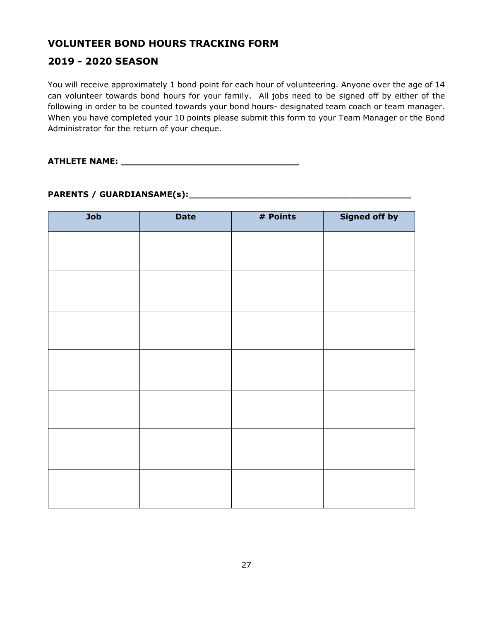## <span id="page-26-0"></span>**VOLUNTEER BOND HOURS TRACKING FORM**

## **2019 - 2020 SEASON**

You will receive approximately 1 bond point for each hour of volunteering. Anyone over the age of 14 can volunteer towards bond hours for your family. All jobs need to be signed off by either of the following in order to be counted towards your bond hours- designated team coach or team manager. When you have completed your 10 points please submit this form to your Team Manager or the Bond Administrator for the return of your cheque.

**ATHLETE NAME: \_\_\_\_\_\_\_\_\_\_\_\_\_\_\_\_\_\_\_\_\_\_\_\_\_\_\_\_\_\_\_\_** 

#### **PARENTS / GUARDIANSAME(s):\_\_\_\_\_\_\_\_\_\_\_\_\_\_\_\_\_\_\_\_\_\_\_\_\_\_\_\_\_\_\_\_\_\_\_\_\_\_\_\_**

| Job | <b>Date</b> | # Points | <b>Signed off by</b> |
|-----|-------------|----------|----------------------|
|     |             |          |                      |
|     |             |          |                      |
|     |             |          |                      |
|     |             |          |                      |
|     |             |          |                      |
|     |             |          |                      |
|     |             |          |                      |
|     |             |          |                      |
|     |             |          |                      |
|     |             |          |                      |
|     |             |          |                      |
|     |             |          |                      |
|     |             |          |                      |
|     |             |          |                      |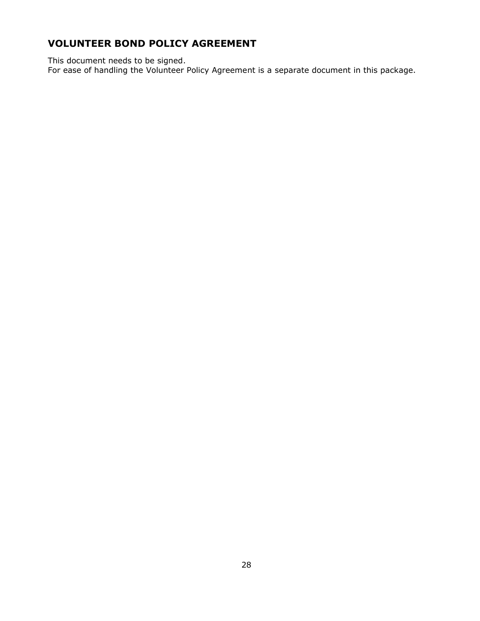## <span id="page-27-0"></span>**VOLUNTEER BOND POLICY AGREEMENT**

This document needs to be signed.

For ease of handling the Volunteer Policy Agreement is a separate document in this package.